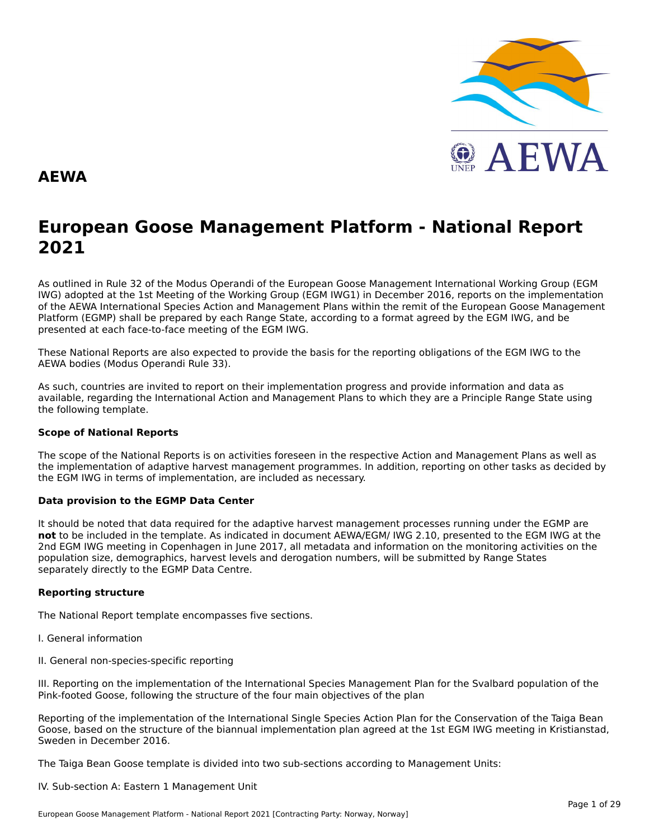

### **AEWA**

# **European Goose Management Platform - National Report**European Goose Management Platform - National Report<br>2021

As outlined in Rule 32 of the Modus Operandi of the European Goose Management International Working Group (EGM As buthled in Rule 32 of the Modus Operandi of the Lufopean Goose Management International Working Group (LGM<br>IWG) adopted at the 1st Meeting of the Working Group (EGM IWG1) in December 2016, reports on the implementation of the AEWA International Species Action and Management Plans within the remit of the European Goose Management<br>of the AEWA International Species Action and Management Plans within the remit of the European Goose Managemen Platform (EGMP) shall be prepared by each Range State, according to a format agreed by the EGM IWG, and be presented at each face-to-face meeting of the EGM IWG.

These National Reports are also expected to provide the basis for the reporting obligations of the EGM IWG to the AEWA bodies (Modus Operandi Rule 33).

As such, countries are invited to report on their implementation progress and provide information and data asAs such, countries are invited to report on their implementation progress and provide imomiation and data as<br>available, regarding the International Action and Management Plans to which they are a Principle Range State usin the following template.

#### **Scope of National Reports**

The scope of the National Reports is on activities foreseen in the respective Action and Management Plans as well as<br>the invalence total of adoptive harvest management are respective and dition are atting on other today as the implementation of adaptive harvest management programmes. In addition, reporting on other tasks as decided by the EGM IWG in terms of implementation, are included as necessary.

#### **Data provision to the EGMP Data Center**

It should be noted that data required for the adaptive harvest management processes running under the EGMP are not to be included in the template. As indicated in document AEWA/EGM/ IWG 2.10, presented to the EGM IWG at the 2nd EGM IWG meeting in Copenhagen in June 2017, all metadata and information on the monitoring activities on the population size, demographics, harvest levels and derogation numbers, will be submitted by Range States separately directly to the EGMP Data Centre.

### **Reporting structure**

The National Report template encompasses five sections.

- I. General information
- II. General non-species-specific reporting

III. Reporting on the implementation of the International Species Management Plan for the Svalbard population of the Pink-footed Goose, following the structure of the four main objectives of the plan

Reporting of the implementation of the International Single Species Action Plan for the Conservation of the Taiga Bean Goose, based on the structure of the biannual implementation plan agreed at the 1st EGM IWG meeting in Kristianstad, Sweden in December 2016.

The Taiga Bean Goose template is divided into two sub-sections according to Management Units:

#### IV. Sub-section A: Eastern 1 Management Unit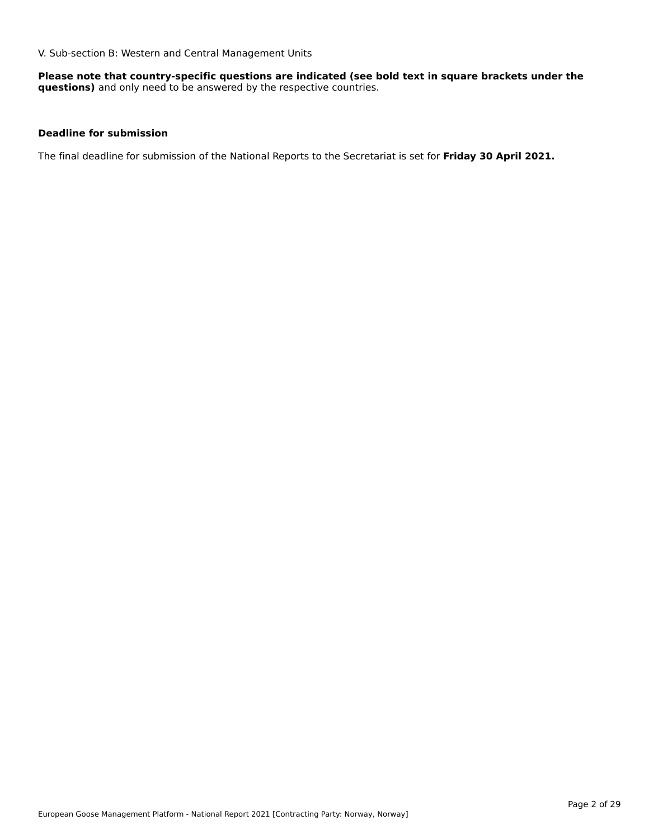V. Sub-section B: Western and Central Management Units

**Please note that country-specific questions are indicated (see bold text in square brackets under the questions)** and only need to be answered by the respective countries.

### **Deadline for submission**

The final deadline for submission of the National Reports to the Secretariat is set for **Friday 30 April 2021.**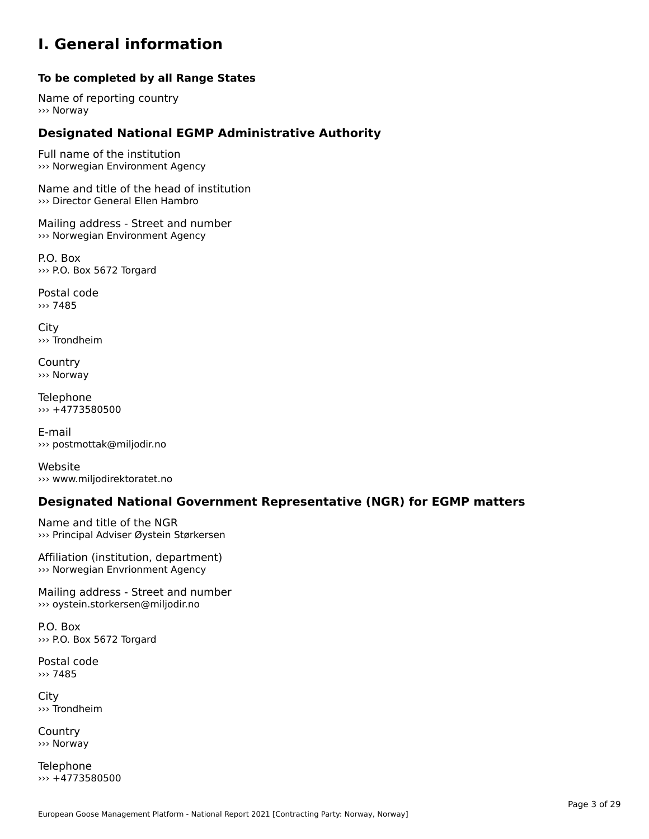### **I. General information**

### **To be completed by all Range States**

Name of reporting country››› Norway

# **Designated National EGMP Administrative Authority**

Full name of the institution ››› Norwegian Environment Agency

Name and title of the head of institution ››› Director General Ellen Hambro

Mailing address - Street and number ››› Norwegian Environment Agency

P.O. Box››› P.O. Box 5672 Torgard

Postal code ››› 7485

City ››› Trondheim

**Country** ››› Norway

Telephone  $\rightarrow$  +4773580500

E-mail››› postmottak@miljodir.no

Website››› www.miljodirektoratet.no

# **Designated National Government Representative (NGR) for EGMP matters**

Name and title of the NGR ››› Principal Adviser Øystein Størkersen

Affiliation (institution, department) ››› Norwegian Envrionment Agency

Mailing address - Street and number ››› oystein.storkersen@miljodir.no

P.O. Box››› P.O. Box 5672 Torgard

Postal code ››› 7485

**City** ››› Trondheim

**Country** ››› Norway

Telephone ››› +4773580500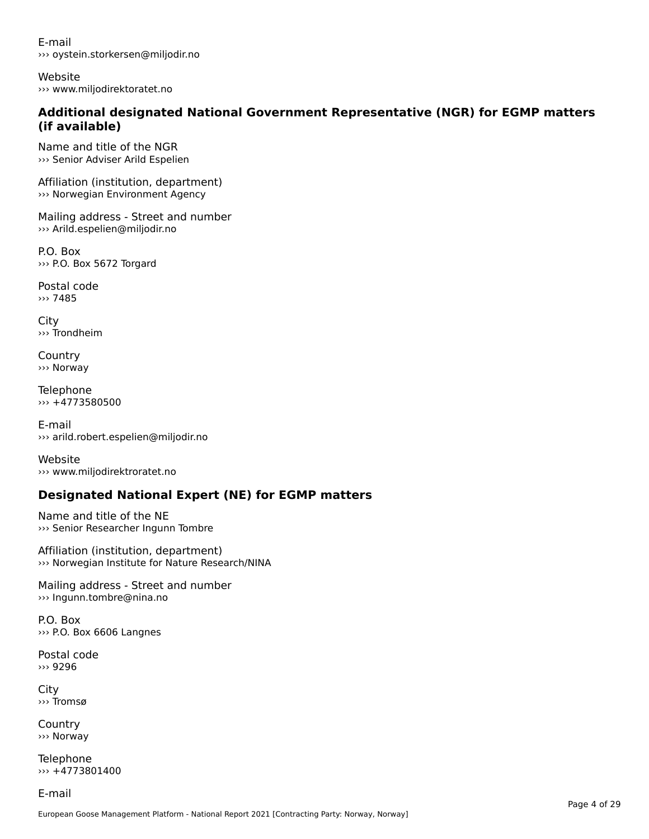E-mail››› oystein.storkersen@miljodir.no

Website››› www.miljodirektoratet.no

### **Additional designated National Government Representative (NGR) for EGMP matters (if available)**(if available)

Name and title of the NGR ››› Senior Adviser Arild Espelien

Affiliation (institution, department) ››› Norwegian Environment Agency

Mailing address - Street and number ››› Arild.espelien@miljodir.no

P.O. Box››› P.O. Box 5672 Torgard

Postal code››› 7485

City ››› Trondheim

**Country** ››› Norway

Telephone ››› +4773580500

E-mail ››› arild.robert.espelien@miljodir.no

Website››› www.miljodirektroratet.no

# **Designated National Expert (NE) for EGMP matters**

Name and title of the NE››› Senior Researcher Ingunn Tombre

Affiliation (institution, department) ››› Norwegian Institute for Nature Research/NINA

Mailing address - Street and number ››› Ingunn.tombre@nina.no

P.O. Box››› P.O. Box 6606 Langnes

Postal code››› 9296

City ››› Tromsø

Country››› Norway

Telephone ››› +4773801400

E-mail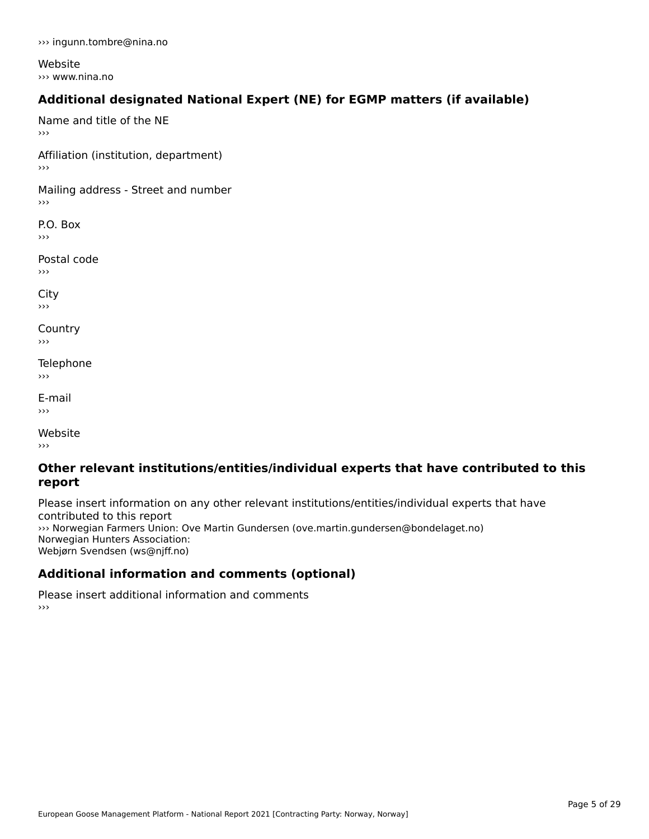››› ingunn.tombre@nina.no

Website››› www.nina.no

# **Additional designated National Expert (NE) for EGMP matters (if available)**

Name and title of the NE›››

Affiliation (institution, department)

Mailing address - Street and number

P.O. Box ›››

Postal code›››

 $\mathbf{C}^{\text{th}}$  $\mathbf{v}$ 

**Country**  $\rightarrow$   $>$ 

Telephone ›››

E-mail›››

website<br>Website ›››

### **Other relevant institutions/entities/individual experts that have contributed to this report**report

Please insert information on any other relevant institutions/entities/individual experts that have riease insert information<br>contributed to this report ››› Norwegian Farmers Union: Ove Martin Gundersen (ove.martin.gundersen@bondelaget.no) Norwegian Hunters Association: Webjørn Svendsen (ws@njff.no)

# **Additional information and comments (optional)**

Please insert additional information and comments ، ا<br><<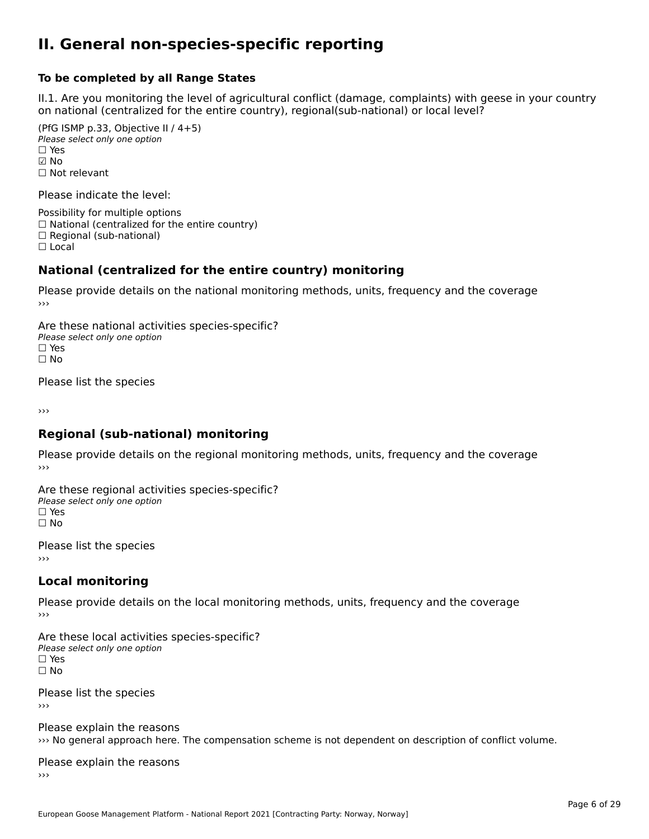### **II. General non-species-specific reporting**

#### **To be completed by all Range States**

II.1. Are you monitoring the level of agricultural conflict (damage, complaints) with geese in your country on national (centralized for the entire country), regional(sub-national) or local level?

(PfG ISMP p.33, Objective II  $(4+5)$ ) ∪ ISMIT p.55, Objective<br>Please select only one option □ Yes<br>☑ No ☐ Not relevant

Please indicate the level:

Possibility for multiple options  $\Box$  National (centralized for the entire country)  $\Box$  Regional (sub-national)

☐ Local

#### **National (centralized for the entire country) monitoring**

Please provide details on the national monitoring methods, units, frequency and the coverage

Are these national activities species-specific? Please select only one optionPlease select only one option<br>□ Yes ים וכ<br>⊡ No

Please list the species

›››

#### **Regional (sub-national) monitoring**

Please provide details on the regional monitoring methods, units, frequency and the coverage

Are these regional activities species-specific? ∩ne these regional activ<br>Please select only one option □ Yes<br>□ No

Please list the species ›››

#### **Local monitoring**

Please provide details on the local monitoring methods, units, frequency and the coverage

Are these local activities species-specific? Please select only one optionriease<br>□ Yes □ Yes<br>□ No

Please list the species ›››

Please explain the reasons ››› No general approach here. The compensation scheme is not dependent on description of conflict volume.

Please explain the reasons ››› $\rightarrow$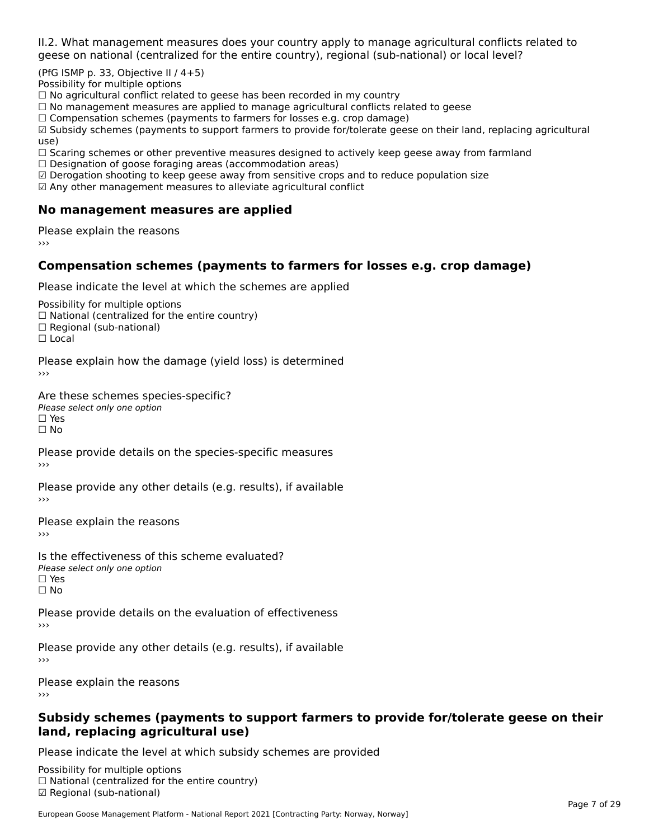II.2. What management measures does your country apply to manage agricultural conflicts related to

(PfG ISMP p. 33, Objective II  $/$  4+5)

Possibility for multiple options

™assionicy for maltiple options<br>□ No agricultural conflict related to geese has been recorded in my country

 $\Box$  No management measures are applied to manage agricultural conflicts related to geese

□ No management measures are applied to manage agricultural connicts rela<br>□ Compensation schemes (payments to farmers for losses e.g. crop damage)

□ Compensation schemes (payments to farmers for losses e.g. crop damage)<br>□ Subsidy schemes (payments to support farmers to provide for/tolerate geese on their land, replacing agricultural use)

use,<br>□ Scaring schemes or other preventive measures designed to actively keep geese away from farmland

 $\Box$  Designation of goose foraging areas (accommodation areas)

□ Designation of goose foraging areas (accommodation areas)<br>☑ Derogation shooting to keep geese away from sensitive crops and to reduce population size

 $\boxtimes$  Any other management measures to alleviate agricultural conflict

### **No management measures are applied**

Please explain the reasons ›››

## **Compensation schemes (payments to farmers for losses e.g. crop damage)**

Please indicate the level at which the schemes are applied

Possibility for multiple options rossibility for multiple options<br>□ National (centralized for the entire country) □ National (centralized io<br>□ Regional (sub-national)

☐ Local

Please explain how the damage (yield loss) is determined

Are these schemes species-specific?∩ne these senemes spe<br>Please select only one option □ Yes<br>□ No

Please provide details on the species-specific measures

Please provide any other details (e.g. results), if available

Please explain the reasons

Is the effectiveness of this scheme evaluated?Please select only one option☐ Yes☐ No

Please provide details on the evaluation of effectiveness

Please provide any other details (e.g. results), if available

Please explain the reasons

### **Subsidy schemes (payments to support farmers to provide for/tolerate geese on their land, replacing agricultural use)**

Please indicate the level at which subsidy schemes are provided

Possibility for multiple options гозывниу тог нингріе орноть<br>□ National (centralized for the entire country) ☑ Regional (sub-national)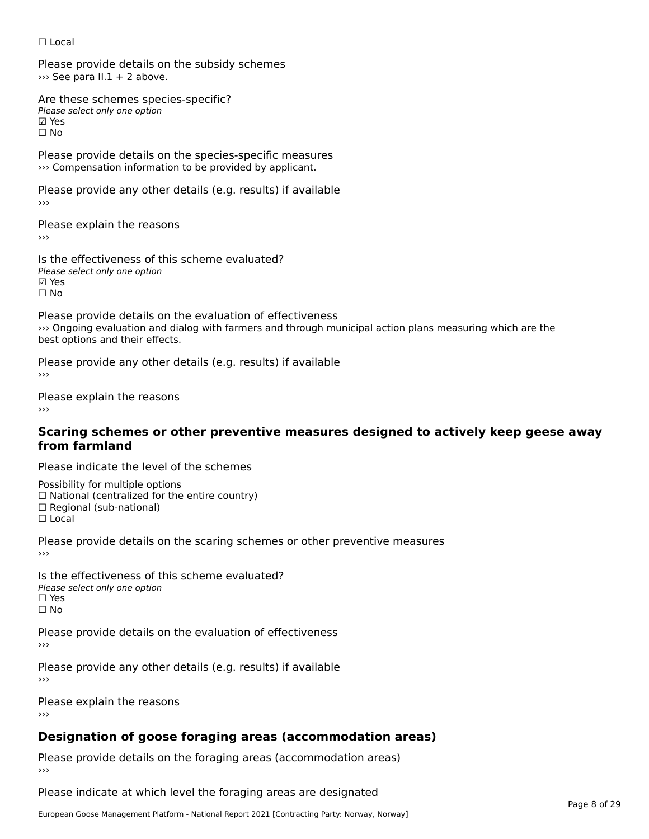#### ☐ Local

Please provide details on the subsidy schemes ››› See para II.1 + 2 above.

Are these schemes species-specific?∧e chese senemes spee<br>Please select only one option ⊠ Yes<br>□ No

Please provide details on the species-specific measures ››› Compensation information to be provided by applicant.

Please provide any other details (e.g. results) if available

Please explain the reasons

Is the effectiveness of this scheme evaluated?□ CHECONCHESS OF C<br>Please select only one option ☐ No

Please provide details on the evaluation of effectiveness ››› Ongoing evaluation and dialog with farmers and through municipal action plans measuring which are the *best* ongoing evaluation and diamers.

Please provide any other details (e.g. results) if available

Please explain the reasons

### **Scaring schemes or other preventive measures designed to actively keep geese away from farmland**

Please indicate the level of the schemes

Possibility for multiple options

rossibility for multiple options<br>□ National (centralized for the entire country)

□ National (centralized io<br>□ Regional (sub-national)

☐ Local

Please provide details on the scaring schemes or other preventive measures

Is the effectiveness of this scheme evaluated?□ CITC CITCCLIVERESS OF C<br>Please select only one option □ Yes<br>□ No

Please provide details on the evaluation of effectiveness

Please provide any other details (e.g. results) if available ›››

Please explain the reasons

# **Designation of goose foraging areas (accommodation areas)**

Please provide details on the foraging areas (accommodation areas)

Please indicate at which level the foraging areas are designated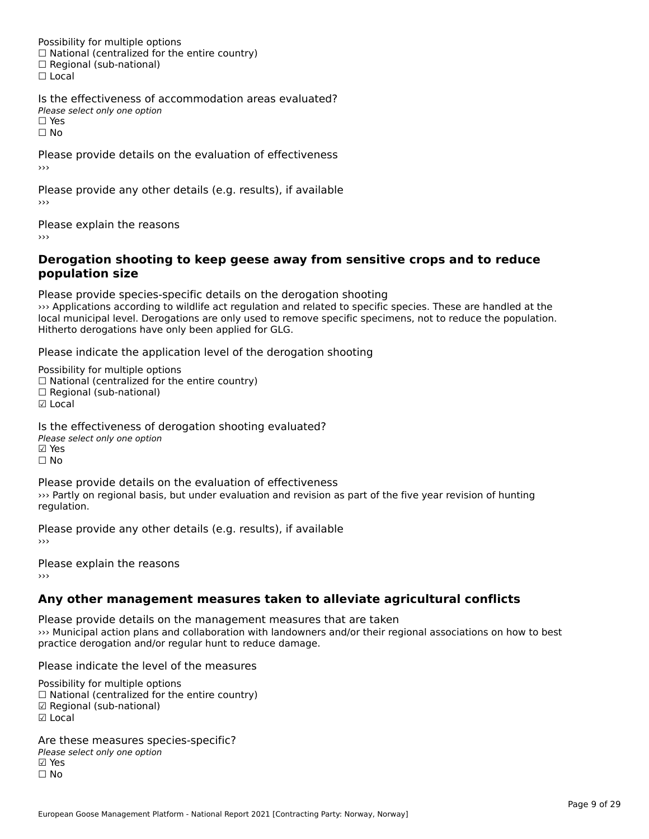Possibility for multiple options rossibility for multiple options<br>□ National (centralized for the entire country) □ National (centralized io<br>□ Regional (sub-national) ☐ Local

Is the effectiveness of accommodation areas evaluated?Please select only one option ☐ Yes

☐ No

Please provide details on the evaluation of effectiveness

Please provide any other details (e.g. results), if available

Please explain the reasons ›››

### **Derogation shooting to keep geese away from sensitive crops and to reduce population size**population size

Please provide species-specific details on the derogation shooting I lease provide species-specific decails on the derogation shooting<br>
Secret to specific species. These are handled at the populations are only used to reduce the population of the local municipal level. Derogations are only used to remove specific specimens, not to reduce the population. local municipal level. Derogations are only used to rel<br>Hitherto derogations have only been applied for GLG.

Please indicate the application level of the derogation shooting

Possibility for multiple options  $\Box$  National (centralized for the entire country)  $\Box$  Regional (sub-national) ☑ Local

Is the effectiveness of derogation shooting evaluated? Please select only one option ☑ Yes☐ No

Please provide details on the evaluation of effectiveness ››› Partly on regional basis, but under evaluation and revision as part of the five year revision of hunting <sup>777</sup> raitiy or<br>regulation.

Please provide any other details (e.g. results), if available

Please explain the reasons ›››

# **Any other management measures taken to alleviate agricultural conflicts**

Please provide details on the management measures that are taken ››› Municipal action plans and collaboration with landowners and/or their regional associations on how to best practice derogation and/or regular hunt to reduce damage.

Please indicate the level of the measures

Possibility for multiple options rossibility for multiple options<br>□ National (centralized for the entire country) □ National (centralized io<br>☑ Regional (sub-national) ⊡ ∩egio<br>☑ Local

Are these measures species-specific?Please select only one option☑ Yes☐ No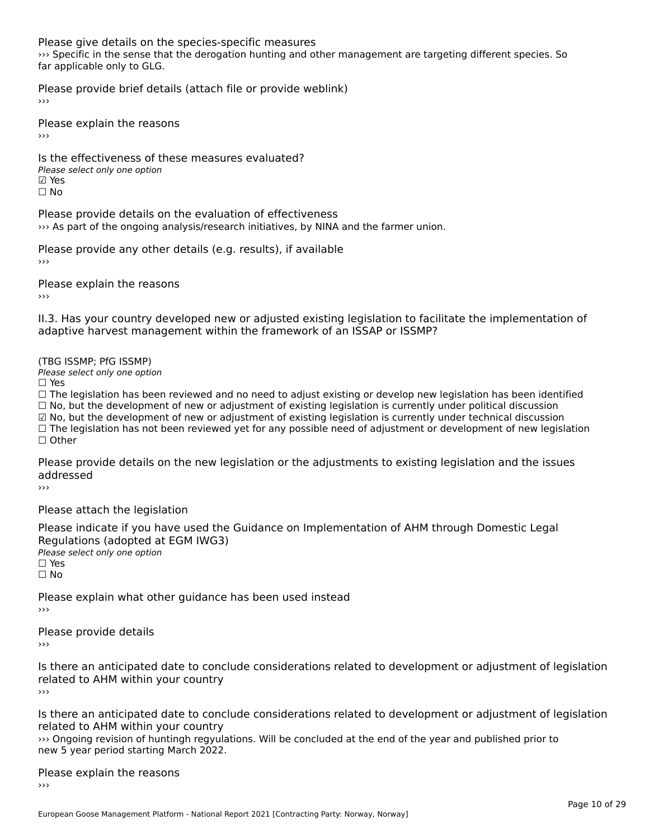Please give details on the species-specific measures

››› Specific in the sense that the derogation hunting and other management are targeting different species. So see the first research one<br>far applicable only to GLG.

Please provide brief details (attach file or provide weblink)

›››

Please explain the reasons›››

Is the effectiveness of these measures evaluated? □ CHECONCHESS OF C<br>Please select only one option ☐ No

Please provide details on the evaluation of effectiveness I lease provide details on the evaluation of enectiveness<br>>>> As part of the ongoing analysis/research initiatives, by NINA and the farmer union.

Please provide any other details (e.g. results), if available

Please explain the reasons

II.3. Has your country developed new or adjusted existing legislation to facilitate the implementation of

#### (TBG ISSMP; PfG ISSMP)

Please select only one option ☐ Yes

☐ The legislation has been reviewed and no need to adjust existing or develop new legislation has been identified  $\Box$  The regislation has been reviewed and no need to adjust existing or develop hew regislation has been identify and  $\Box$  No, but the development of new or adjustment of existing legislation is currently under political ☑ No, but the development of new or adjustment of existing legislation is currently under technical discussion ⊠ No, but the development of new or adjustment of existing regislation is currently under technical discussion<br>□ The legislation has not been reviewed yet for any possible need of adjustment or development of new legislat

Please provide details on the new legislation or the adjustments to existing legislation and the issues addressed

Please attach the legislation

Please indicate if you have used the Guidance on Implementation of AHM through Domestic Legal Piease indicate if you have used the<br>Regulations (adopted at EGM IWG3) Please select only one option

☐ Yes

☐ No

Please explain what other guidance has been used instead ›››

Please provide details

›››

Is there an anticipated date to conclude considerations related to development or adjustment of legislation related to Arm within your country

Is there an anticipated date to conclude considerations related to development or adjustment of legislation related to AHM within your country

››› Ongoing revision of huntingh regyulations. Will be concluded at the end of the year and published prior to www.igolity.revision.or.huntingh.regyula<br>new 5 year period starting March 2022.

# Please explain the reasons

 $\rightarrow$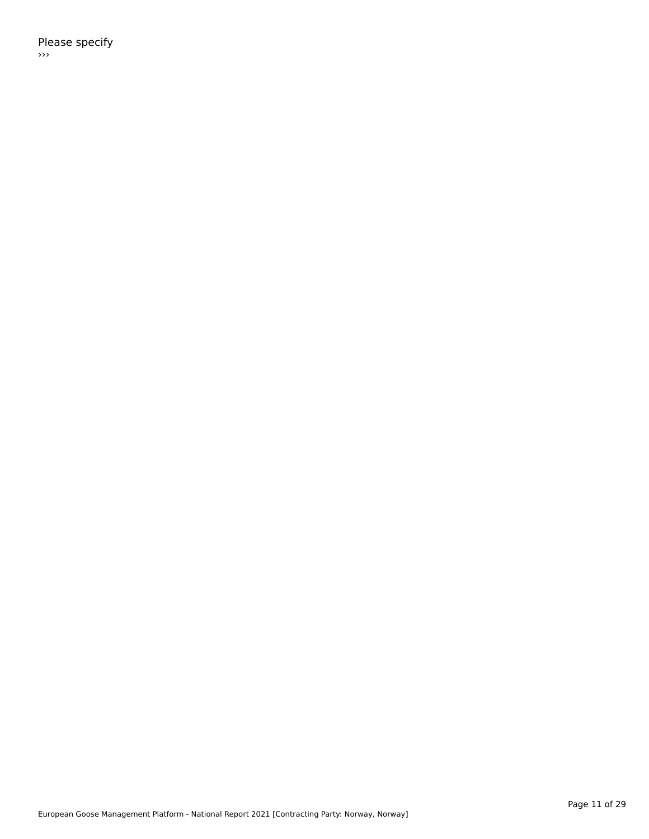Please specify ›››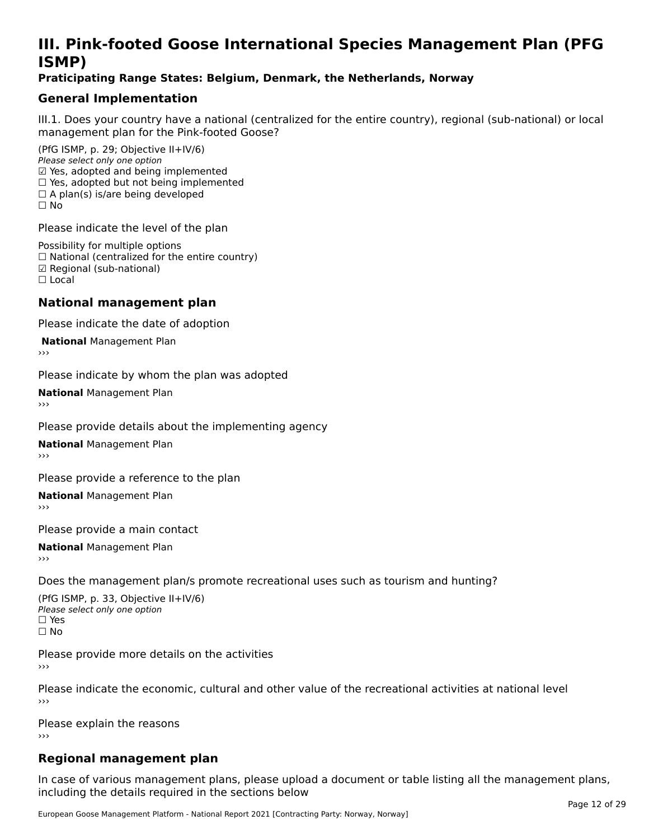# **III. Pink-footed Goose International Species Management Plan (PFG**III. FII<br>ICMAD)

### **Praticipating Range States: Belgium, Denmark, the Netherlands, Norway**

## **General Implementation**

III.1. Does your country have a national (centralized for the entire country), regional (sub-national) or local

(PfG ISMP, p. 29; Objective II+IV/6) Please select only one option *Please select only one option*<br>☑ Yes, adopted and being implemented  $□$  Yes, adopted and being implemented  $□$  Yes, adopted but not being implemented  $\Box$  A plan(s) is/are being developed ☐ No

Please indicate the level of the plan

Possibility for multiple options rossibility for multiple options<br>□ National (centralized for the entire country) □ National (centralized io<br>☑ Regional (sub-national) ☐ Local

#### **National management plan**

Please indicate the date of adoption

**National Management Plan** 

Please indicate by whom the plan was adopted

**National** Management Plan

Please provide details about the implementing agency

**National** Management Plan

Please provide a reference to the plan

**National** Management Plan

Please provide a main contact

**National** Management Plan

Does the management plan/s promote recreational uses such as tourism and hunting?

(PfG ISMP, p. 33, Objective II+IV/6) Please select only one optionPlease select only one option  $\square$  Yes ☐ No

Please provide more details on the activities›››

Please indicate the economic, cultural and other value of the recreational activities at national level

Please explain the reasons ›››

# **Regional management plan**

In case of various management plans, please upload a document or table listing all the management plans,in case or various management plans, please uploa<br>in the direct below the its required in the sections below including the details required in the sections below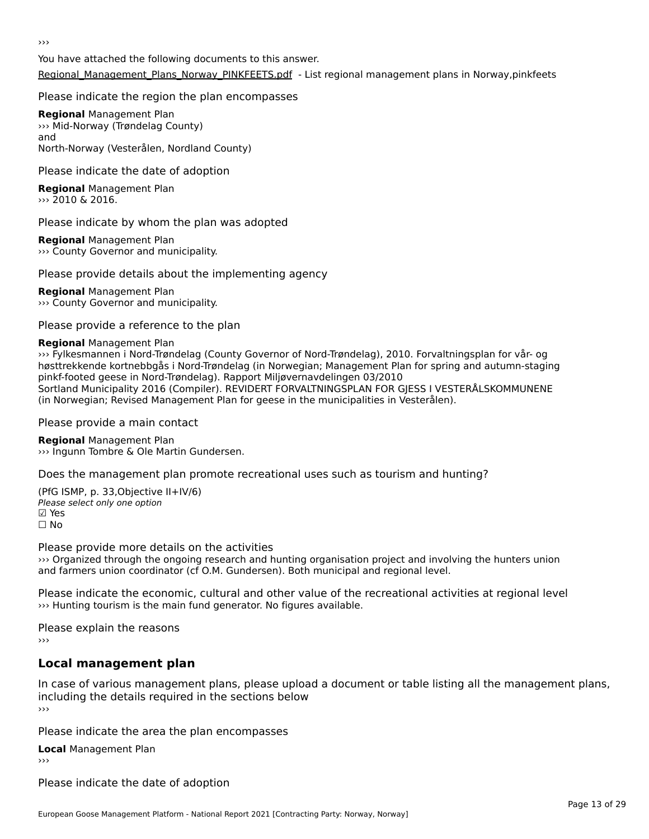›››

You have attached the following documents to this answer.[Regional\\_Management\\_Plans\\_Norway\\_PINKFEETS.pdf](http://aewa-ort.ort-production.linode.unep-wcmc.org/answers/2848220/documents/1986) - List regional management plans in Norway,pinkfeets

### Please indicate the region the plan encompasses

**Regional** Management Plan **Regional Management Fran**<br>>>> Mid-Norway (Trøndelag County) anu<br>North-Norway (Vesterålen, Nordland County)

#### Please indicate the date of adoption

**Regional** Management Plan ››› 2010 & 2016.

#### Please indicate by whom the plan was adopted

**Regional** Management Plan ››› County Governor and municipality.

#### Please provide details about the implementing agency

**Regional** Management Plan ››› County Governor and municipality.

Please provide a reference to the plan

### **Regional** Management Plan

››› Fylkesmannen i Nord-Trøndelag (County Governor of Nord-Trøndelag), 2010. Forvaltningsplan for vår- og høsttrekkende kortnebbgås i Nord-Trøndelag (in Norwegian; Management Plan for spring and autumn-staging pinkf-footed geese in Nord-Trøndelag). Rapport Miljøvernavdelingen 03/2010 Sortland Municipality 2016 (Compiler). REVIDERT FORVALTNINGSPLAN FOR GJESS I VESTERÅLSKOMMUNENE (in Norwegian; Revised Management Plan for geese in the municipalities in Vesterålen).

Please provide a main contact

**Regional** Management Plan **Negional** Management Flan<br>>>> Ingunn Tombre & Ole Martin Gundersen.

Does the management plan promote recreational uses such as tourism and hunting?

(PfG ISMP, p. 33,Objective II+IV/6) Please select only one option ☑ Yes☐ No

### Please provide more details on the activities

››› Organized through the ongoing research and hunting organisation project and involving the hunters union www.cryanized unough the ongoing research and numing organisation project and invol<br>and farmers union coordinator (cf O.M. Gundersen). Both municipal and regional level.

Please indicate the economic, cultural and other value of the recreational activities at regional level >>> Hunting tourism is the main fund generator. No figures available.

Please explain the reasons

›››

# **Local management plan**

In case of various management plans, please upload a document or table listing all the management plans, in case or various management plans, please uploa<br>including the details required in the sections below

Please indicate the area the plan encompasses

**Local** Management Plan

Please indicate the date of adoption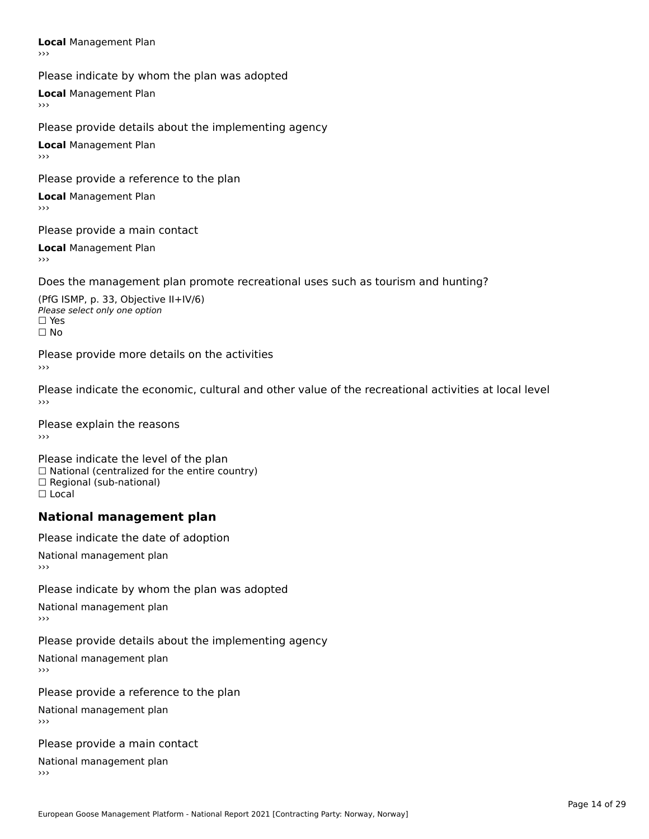**Local** Management Plan

Please indicate by whom the plan was adopted

**Local** Management Plan

Please provide details about the implementing agency

**Local** Management Plan

Please provide a reference to the plan

**Local** Management Plan

Please provide a main contact

**Local** Management Plan

Does the management plan promote recreational uses such as tourism and hunting?

(PfG ISMP, p. 33, Objective II+IV/6) ∩ Please select only one option □ Yes<br>□ No

Please provide more details on the activities

Please indicate the economic, cultural and other value of the recreational activities at local level

Please explain the reasons ›››

Please indicate the level of the plan  $\Box$  National (centralized for the entire country)<br> $\Box$  National (centralized for the entire country)  $\Box$  Regional (sub-national) ☐ Local

#### **National management plan**

Please indicate the date of adoption National management plan›››

Please indicate by whom the plan was adopted

National management plan

Please provide details about the implementing agency

National management plan

Please provide a reference to the plan

National management plan

Please provide a main contact

National management plan›››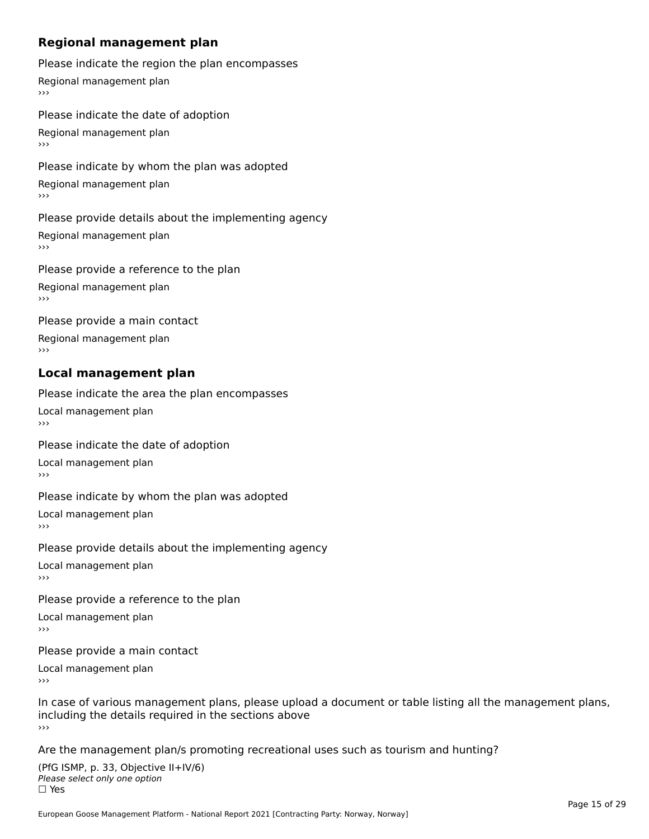# **Regional management plan**

Please indicate the region the plan encompasses

Regional management plan

Please indicate the date of adoption Regional management plan

#### Please indicate by whom the plan was adopted

Regional management plan  $\rightarrow$   $>$ 

#### Please provide details about the implementing agency

Regional management plan

#### Please provide a reference to the plan

Regional management plan  $\rightarrow$   $>$ 

Please provide a main contact

Regional management plan

# **Local management plan**

Please indicate the area the plan encompasses Local management plan $\overline{\phantom{a}}$ 

#### Please indicate the date of adoption

Local management plan

#### Please indicate by whom the plan was adopted

Local management plan $\overline{\phantom{a}}$ 

#### Please provide details about the implementing agency Local management plan

 $\overline{v}$ 

Please provide a reference to the plan

Local management plan  $\rightarrow$   $>$ 

Please provide a main contact

Local management plan $\overline{v}$ 

In case of various management plans, please upload a document or table listing all the management plans, including the details required in the sections above<br>>>>

#### Are the management plan/s promoting recreational uses such as tourism and hunting?

| (PfG ISMP, p. 33, Objective II+IV/6) |
|--------------------------------------|
| Please select only one option        |
| $\Box$ Yes                           |
|                                      |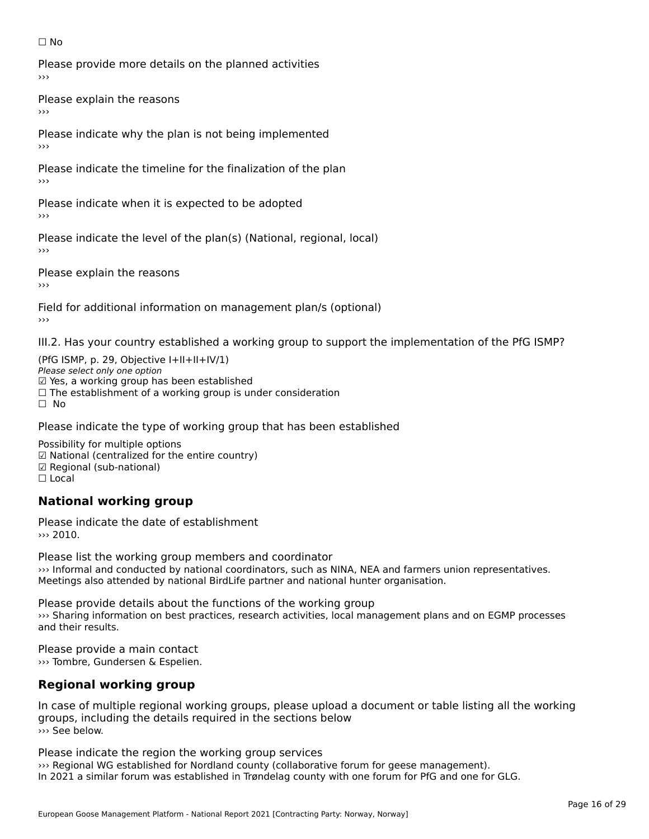#### ☐ No

Please provide more details on the planned activities

Please explain the reasons›››

Please indicate why the plan is not being implemented

Please indicate the timeline for the finalization of the plan

Please indicate when it is expected to be adopted

Please indicate the level of the plan(s) (National, regional, local)

Please explain the reasons

Field for additional information on management plan/s (optional)

III.2. Has your country established a working group to support the implementation of the PfG ISMP?

(PfG ISMP, p. 29, Objective  $I+II+II+IV/1$ ) Please select only one option ☑ Yes, a working group has been established⊠ाल्ड, a working group nas been established<br>□ The establishment of a working group is under consideration ☐ No

### Please indicate the type of working group that has been established

Possibility for multiple options rossibility for multiple options<br>☑ National (centralized for the entire country) ☑ National (centralized io<br>☑ Regional (sub-national) ⊠ Regio<br>□ Local

#### **National working group**

Please indicate the date of establishment››› 2010.

Please list the working group members and coordinator ››› Informal and conducted by national coordinators, such as NINA, NEA and farmers union representatives. we informat and conducted by national coordinators, such as NINA, NEA and familiers t<br>Meetings also attended by national BirdLife partner and national hunter organisation.

Please provide details about the functions of the working group ››› Sharing information on best practices, research activities, local management plans and on EGMP processes and their results.

Please provide a main contact ››› Tombre, Gundersen & Espelien.

# **Regional working group**

In case of multiple regional working groups, please upload a document or table listing all the working groups, including the details required in the sections below ››› See below.

Please indicate the region the working group services ››› Regional WG established for Nordland county (collaborative forum for geese management). www.negional worestablished for Nordiand county (collaborative forum for geese management).<br>In 2021 a similar forum was established in Trøndelag county with one forum for PfG and one for GLG.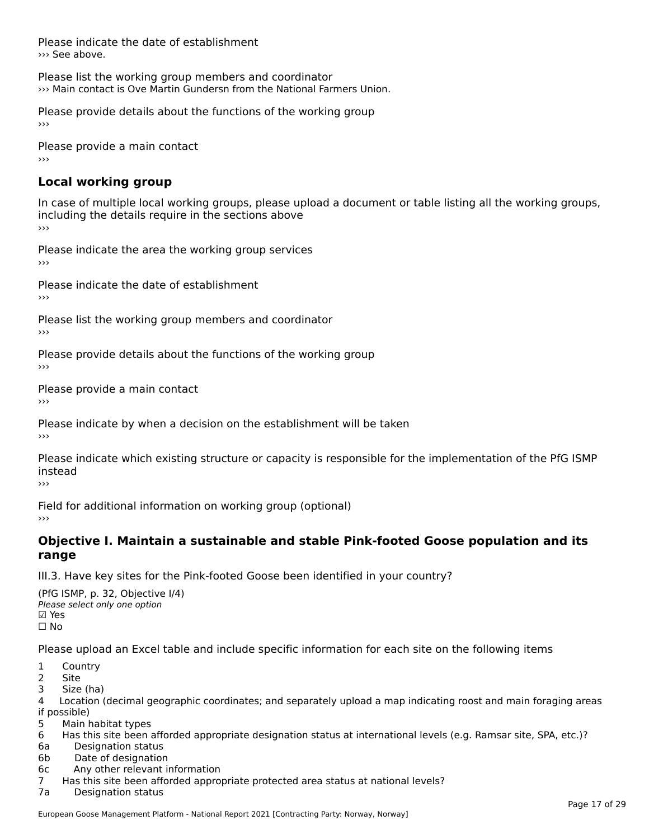Please indicate the date of establishment ››› See above.

Please list the working group members and coordinator ››› Main contact is Ove Martin Gundersn from the National Farmers Union.

Please provide details about the functions of the working group ›››

Please provide a main contact ›››

# **Local working group**

In case of multiple local working groups, please upload a document or table listing all the working groups, including the details require in the sections above<br>>>>

Please indicate the area the working group services ›››

Please indicate the date of establishment ›››

Please list the working group members and coordinator ›››

Please provide details about the functions of the working group ›››

Please provide a main contact ›››

Please indicate by when a decision on the establishment will be taken

Please indicate which existing structure or capacity is responsible for the implementation of the PfG ISMP instead

Field for additional information on working group (optional)

### **Objective I. Maintain a sustainable and stable Pink-footed Goose population and its range**range

III.3. Have key sites for the Pink-footed Goose been identified in your country?

(PfG ISMP, p. 32, Objective I/4)יייכו סיווי, p: אב, סטןככנוע<br>Please select only one option ☐ No

Please upload an Excel table and include specific information for each site on the following items

- 1 Country
- 2 Site
- 3 Size (ha)

د احداد<br>4 Location (decimal geographic coordinates; and separately upload a map indicating roost and main foraging areas 4 Location<br>if possible)

5 Main habitat types

6 Has this site been afforded appropriate designation status at international levels (e.g. Ramsar site, SPA, etc.)? 6a Designation status

- 6a Designation status<br>6b Date of designation
- 
- 6c Any other relevant information

7 Has this site been afforded appropriate protected area status at national levels? 7a Designation status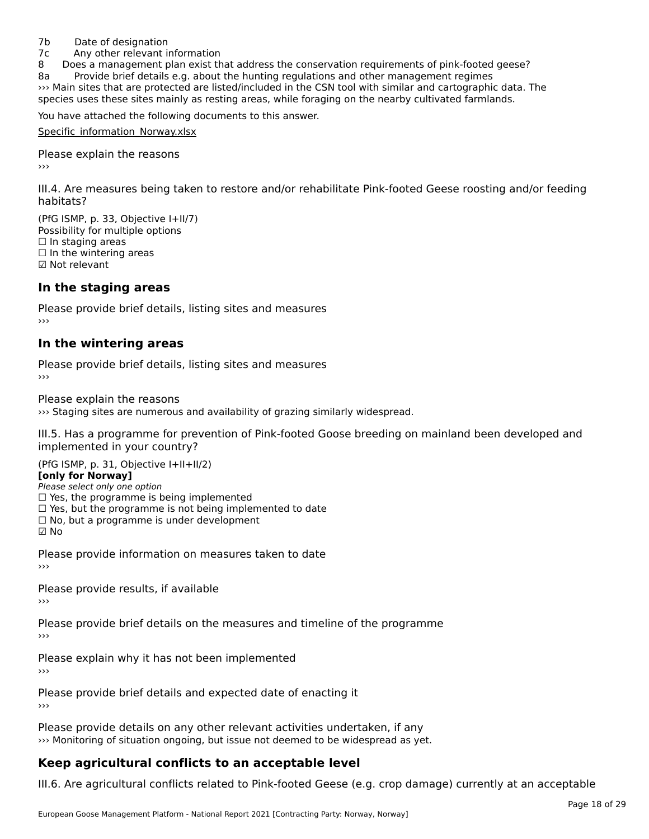#### 7b Date of designation

7c Any other relevant information

8 Does a management plan exist that address the conservation requirements of pink-footed geese?

8a Provide brief details e.g. about the hunting regulations and other management regimes oa and sites that are protected are listed/included in the CSN tool with similar and cartographic data. The species uses that are protected are listed/included in the CSN tool with similar and cartographic data. The species uses these sites mainly as resting areas, while foraging on the nearby cultivated farmlands.

You have attached the following documents to this answer.

Specific information Norway.xlsx

Please explain the reasons

III.4. Are measures being taken to restore and/or rehabilitate Pink-footed Geese roosting and/or feeding

(PfG ISMP, p. 33, Objective I+II/7) Possibility for multiple options ☐ In staging areas $\Box$  In staging areas □ in staging areas<br>□ In the wintering areas ☑ Not relevant

#### **In the staging areas**

Please provide brief details, listing sites and measures ›››

#### **In the wintering areas**

Please provide brief details, listing sites and measures ›››

Please explain the reasons

››› Staging sites are numerous and availability of grazing similarly widespread.

III.5. Has a programme for prevention of Pink-footed Goose breeding on mainland been developed and

 $(PC I CMP, p. 31, Ok)$ **[only for Norway]**

#### [only for Norway]

**Polly for Norway,**<br>Please select only one option riease select only one option<br>□ Yes, the programme is being implemented

□ Tes, the programme is being implemented<br>□ Yes, but the programme is not being implemented to date

 $\Box$  ies, but the programme is not being implement  $\Box$  No, but a programme is under development

☑ No

Please provide information on measures taken to date

Please provide results, if available

Please provide brief details on the measures and timeline of the programme

Please explain why it has not been implemented

Please provide brief details and expected date of enacting it

Please provide details on any other relevant activities undertaken, if any<br>In Monitoring of situation ongoing, but issue not deemed to be widespread as yet. >>> Monitoring of situation ongoing, but issue not deemed to be widespread as yet.

# **Keep agricultural conflicts to an acceptable level**

III.6. Are agricultural conflicts related to Pink-footed Geese (e.g. crop damage) currently at an acceptable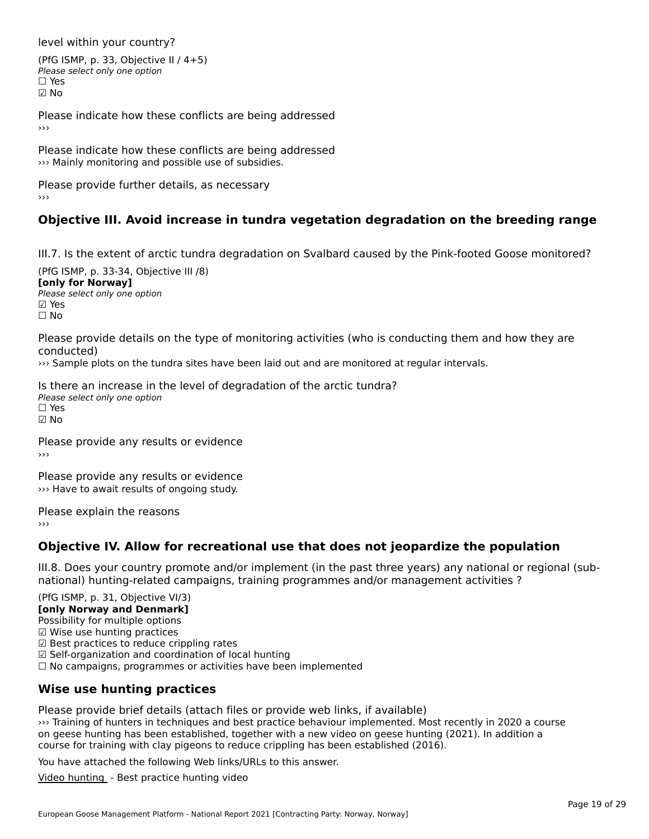level within your country?

(PfG ISMP, p. 33, Objective II / 4+5)Please select only one option ☐ Yes☑ No

Please indicate how these conflicts are being addressed

Please indicate how these conflicts are being addressed ››› Mainly monitoring and possible use of subsidies.

Please provide further details, as necessary ›››

## **Objective III. Avoid increase in tundra vegetation degradation on the breeding range**

III.7. Is the extent of arctic tundra degradation on Svalbard caused by the Pink-footed Goose monitored?

(PfG ISMP, p. 33-34, Objective III /8) **[only for Norway]**Please select only one optionriease<br>□ Yes ⊠ Yes ☐ No

Please provide details on the type of monitoring activities (who is conducting them and how they are

››› Sample plots on the tundra sites have been laid out and are monitored at regular intervals.

Is there an increase in the level of degradation of the arctic tundra? Please select only one optionriease<br>□ Yes ☑ No

Please provide any results or evidence

**Please provide any results or evidence** >>> Have to await results of ongoing study.

Please explain the reasons ›››

### **Objective IV. Allow for recreational use that does not jeopardize the population**

III.8. Does your country promote and/or implement (in the past three years) any national or regional (subnno. Does your country promote and/or implement (in the past timee years) any national or<br>national) hunting-related campaigns, training programmes and/or management activities ?

 $(DEG | GMP = 31, Ob)$ ective  $V(12)$ **[only Norway and Denmark]** Possibility for multiple options rossibility for multiple options<br>☑ Wise use hunting practices ⊠ wise use nunting practices<br>☑ Best practices to reduce crippling rates ☑ Self-organization and coordination of local hunting ⊠ Sen-organization and coordination or local nunting<br>□ No campaigns, programmes or activities have been implemented

# **Wise use hunting practices**

Please provide brief details (attach files or provide web links, if available) ››› Training of hunters in techniques and best practice behaviour implemented. Most recently in 2020 a course on geese hunting of names in techniques and best practice behaviour implemented. Most recently in 2020 a compression general control of the control of the control of the control of the control of the control of the control course for training with clay pigeons to reduce crippling has been established (2016).

You have attached the following Web links/URLs to this answer.

[Video hunting](https://www.dropbox.com/s/ayuhxv6xc66lhq1/Prosjekt%20G%C3%A5s%20v1.2%201080h264.mp4?dl=0) - Best practice hunting video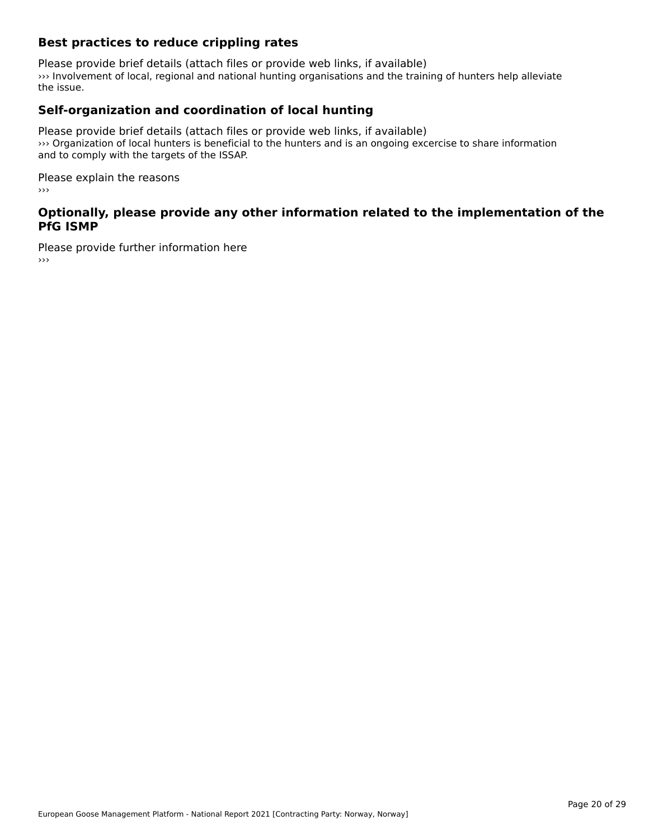### **Best practices to reduce crippling rates**

Please provide brief details (attach files or provide web links, if available) ››› Involvement of local, regional and national hunting organisations and the training of hunters help alleviate the issue.

### **Self-organization and coordination of local hunting**

Please provide brief details (attach files or provide web links, if available) ››› Organization of local hunters is beneficial to the hunters and is an ongoing excercise to share information *I* chyanization of local numers is beneficial and to comply with the targets of the ISSAP.

Please explain the reasons ›››

### **Optionally, please provide any other information related to the implementation of the PfG ISMP**

Please provide further information here ›››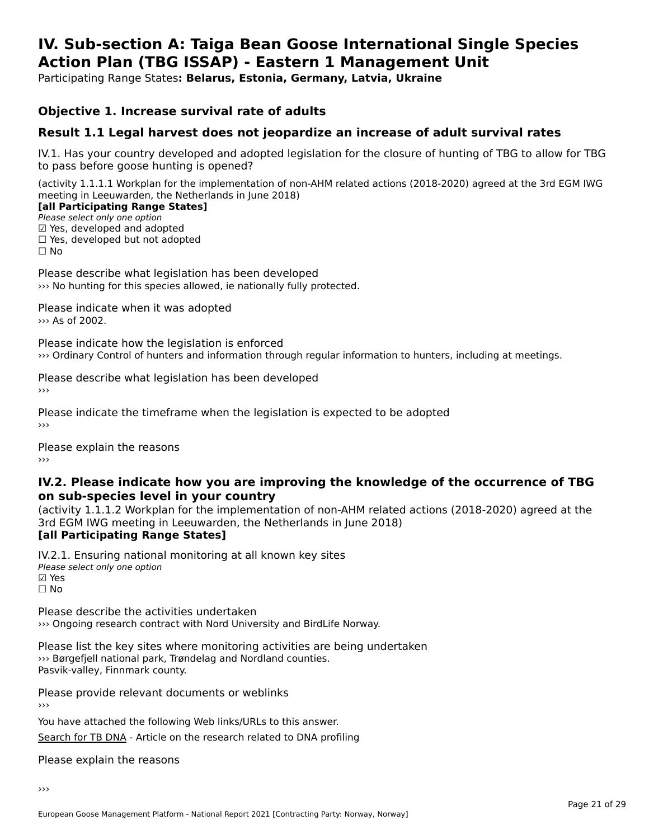#### **IV. Sub-section A: Taiga Bean Goose International Single Species Action Plan (TBG ISSAP) - Eastern 1 Management UnitAction Plan (TBG ISSAP) - Eastern 1 Management Unit**

Participating Range States**: Belarus, Estonia, Germany, Latvia, Ukraine** 

### **Objective 1. Increase survival rate of adults**

### **Result 1.1 Legal harvest does not jeopardize an increase of adult survival rates**

IV.1. Has your country developed and adopted legislation for the closure of hunting of TBG to allow for TBG IV.1. Thas your country developed and add<br>to pass before goose hunting is opened?

(activity 1.1.1.1 Workplan for the implementation of non-AHM related actions (2018-2020) agreed at the 3rd EGM IWG meeting in Leeuwarden, the Netherlands in June 2018)

#### [all Participating Range States]

Please select only one option ☑ Yes, developed and adopted

☐ Yes, developed but not adopted

 $\Box$  ies, developed but not adopted

 $\Box$  No

Please describe what legislation has been developed ››› No hunting for this species allowed, ie nationally fully protected.

Please indicate when it was adopted ››› As of 2002.

Please indicate how the legislation is enforced ››› Ordinary Control of hunters and information through regular information to hunters, including at meetings.

Please describe what legislation has been developed

Please indicate the timeframe when the legislation is expected to be adopted

Please explain the reasons

### **IV.2. Please indicate how you are improving the knowledge of the occurrence of TBG on sub-species level in your country**on sub-species level in your country

on sub-species fever in your country<br>(activity 1.1.1.2 Workplan for the implementation of non-AHM related actions (2018-2020) agreed at the **Brd EGM IWG meeting in Leeuwarden, the Netherlands in June 2018)** 

#### [all Participating Range States]

IV.2.1. Ensuring national monitoring at all known key sites ™ Ensuring nutional<br>Please select only one option ☑ Yes<br>□ No

Please describe the activities undertaken ››› Ongoing research contract with Nord University and BirdLife Norway.

Please list the key sites where monitoring activities are being undertaken **Predse had the Key sites where monitoring activities are**  $\gg$  Børgefjell national park, Trøndelag and Nordland counties. Pasvik-valley, Finnmark county.

Please provide relevant documents or weblinks

You have attached the following Web links/URLs to this answer. [Search for TB DNA](http://https://www.nord.no/no/aktuelt/popularvitenskap/Sider/Jakten-p%C3%A5-saedgaasas-DNA.aspx) - Article on the research related to DNA profiling

Please explain the reasons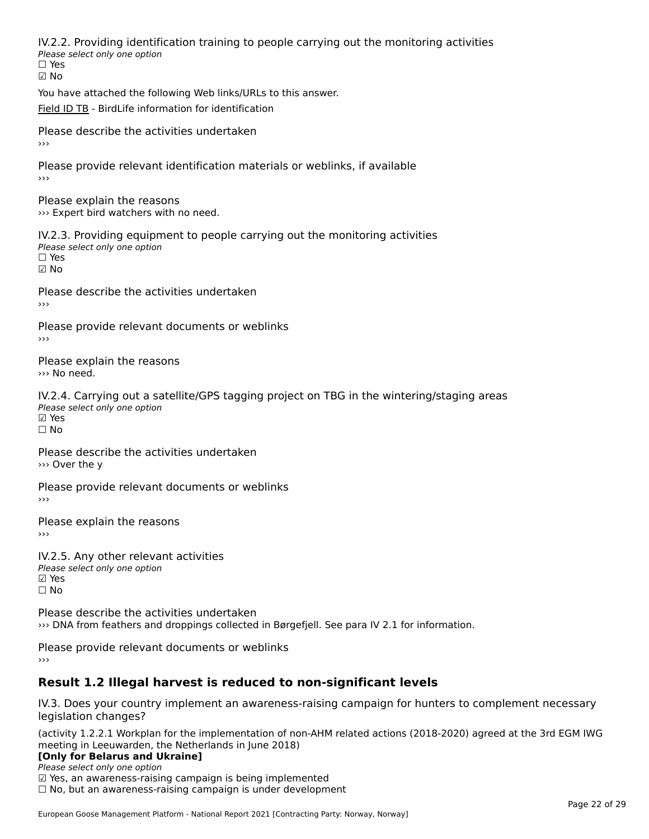IV.2.2. Providing identification training to people carrying out the monitoring activities <del>■ Western Fortung</del> Recrement<br>Please select only one option ☑ No

You have attached the following Web links/URLs to this answer.

[Field ID TB](http://https://www.birdlife.no/naturforvaltning/nyheter/?id=2601) - BirdLife information for identification

Please describe the activities undertaken ›››

Please provide relevant identification materials or weblinks, if available

Please explain the reasons ››› Expert bird watchers with no need.

IV.2.3. Providing equipment to people carrying out the monitoring activities rv.2.5. I roviding equipm<br>Please select only one option ☐ Yes☑ No

Please describe the activities undertaken

Please provide relevant documents or weblinks ›››

Please explain the reasons››› No need.

IV.2.4. Carrying out a satellite/GPS tagging project on TBG in the wintering/staging areas wedden yn y bac a 5d<br>Please select only one option **☑ Yes**<br>Π No

Please describe the activities undertaken ››› Over the y

Please provide relevant documents or weblinks›››

Please explain the reasons

IV.2.5. Any other relevant activities wez: 5: 7 my ocher Televal<br>Please select only one option ☐ No

Please describe the activities undertaken ››› DNA from feathers and droppings collected in Børgefjell. See para IV 2.1 for information.

Please provide relevant documents or weblinks

# **Result 1.2 Illegal harvest is reduced to non-significant levels**

IV.3. Does your country implement an awareness-raising campaign for hunters to complement necessary legislation changes?

(activity 1.2.2.1 Workplan for the implementation of non-AHM related actions (2018-2020) agreed at the 3rd EGM IWG meeting in Leeuwarden, the Netherlands in June 2018)

### **[Only for Belarus and Ukraine]**

Please select only one option riease select only one option<br>□ Yes, an awareness-raising campaign is being implemented<br>□ No, but an awareness-raising campaign is under development  $\Box$  No, but an awareness-raising campaign is under development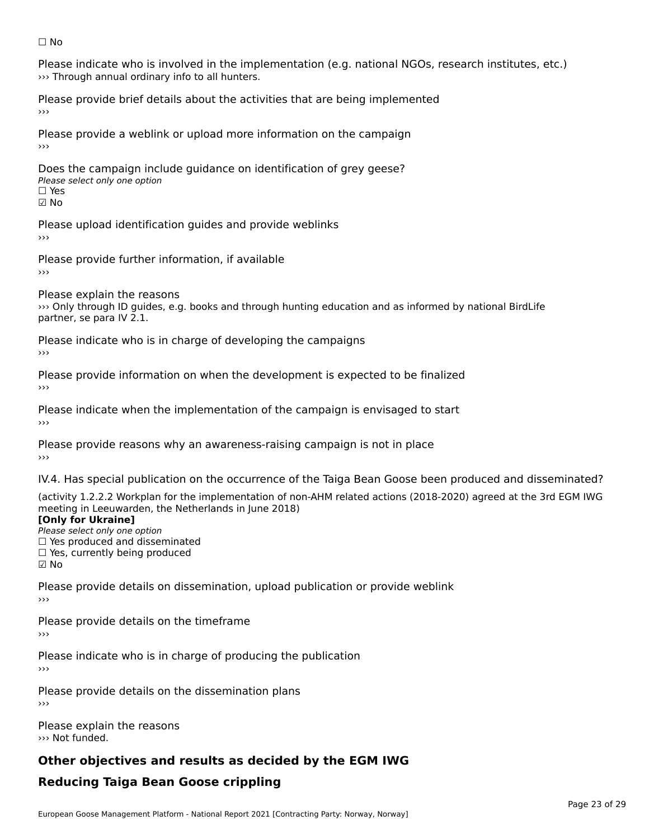#### ☐ No

Please indicate who is involved in the implementation (e.g. national NGOs, research institutes, etc.) ››› Through annual ordinary info to all hunters.

Please provide brief details about the activities that are being implemented

Please provide a weblink or upload more information on the campaign›››

Does the campaign include guidance on identification of grey geese? **DOCS THE CAMPAIGN MET**<br>Please select only one option ☑ No

Please upload identification guides and provide weblinks

Please provide further information, if available

Please explain the reasons

I lease explain the reasons<br>>>> Only through ID guides, e.g. books and through hunting education and as informed by national BirdLife partner, se para IV 2.1.

Please indicate who is in charge of developing the campaigns

Please provide information on when the development is expected to be finalized

Please indicate when the implementation of the campaign is envisaged to start

Please provide reasons why an awareness-raising campaign is not in place

IV.4. Has special publication on the occurrence of the Taiga Bean Goose been produced and disseminated?

(activity 1.2.2.2 Workplan for the implementation of non-AHM related actions (2018-2020) agreed at the 3rd EGM IWG **[Only for Ukraine]**

**LOTTLY TOT ONTAILLET**<br>Please select only one option *Please select only one option*<br>□ Yes produced and disseminated  $\Box$  ies produced and disseminate<br> $\Box$  Yes, currently being produced ☑ No

Please provide details on dissemination, upload publication or provide weblink ›››

Please provide details on the timeframe

Please indicate who is in charge of producing the publication

Please provide details on the dissemination plans›››

Please explain the reasons ››› Not funded.

# **Other objectives and results as decided by the EGM IWG**

# **Reducing Taiga Bean Goose crippling**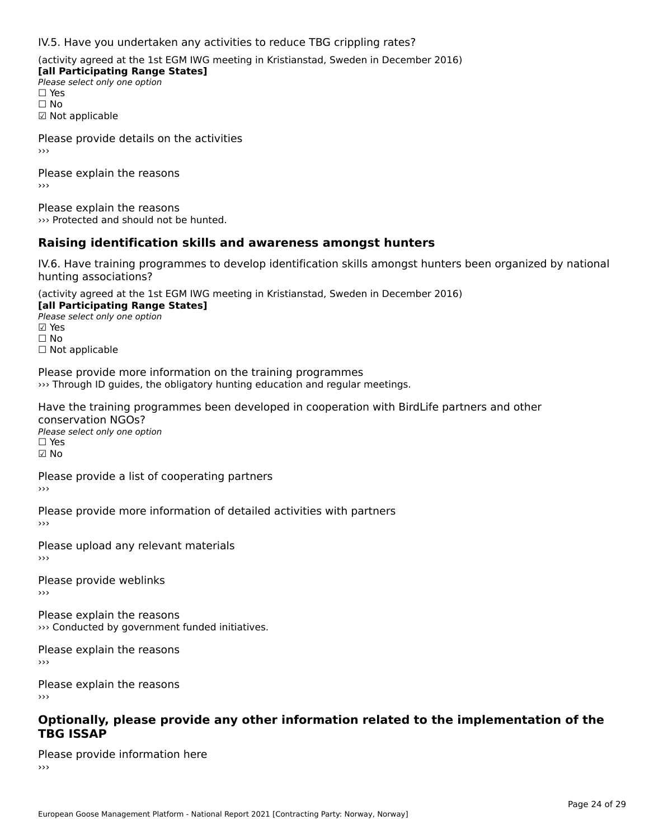IV.5. Have you undertaken any activities to reduce TBG crippling rates?

(activity agreed at the 1st EGM IWG meeting in Kristianstad, Sweden in December 2016)

**[all Participating Range States] Please select only one option** □ Yes<br>□ No ☑ Not applicable

Please provide details on the activities

Please explain the reasons›››

Please explain the reasons ››› Protected and should not be hunted.

#### **Raising identification skills and awareness amongst hunters**

IV.6. Have training programmes to develop identification skills amongst hunters been organized by national hunting associations?

(activity agreed at the 1st EGM IWG meeting in Kristianstad, Sweden in December 2016) **[all Participating Range States]**[all Participating Range States] **Lan Tarticipating Range**<br>Please select only one option ☑ Yes☐ No□ Not applicable

Please provide more information on the training programmes<br>• Through ID guides, the obligatory hunting education and regular meetings. >>> Through ID guides, the obligatory hunting education and regular meetings.

Have the training programmes been developed in cooperation with BirdLife partners and other conservation NGOs?<br>Please select only one option ☐ Yes☑ No

Please provide a list of cooperating partners

Please provide more information of detailed activities with partners

Please upload any relevant materials

Please provide weblinks ›››

Please explain the reasons››› Conducted by government funded initiatives.

Please explain the reasons›››

Please explain the reasons›››

# **Optionally, please provide any other information related to the implementation of the TBG ISSAP**

Please provide information here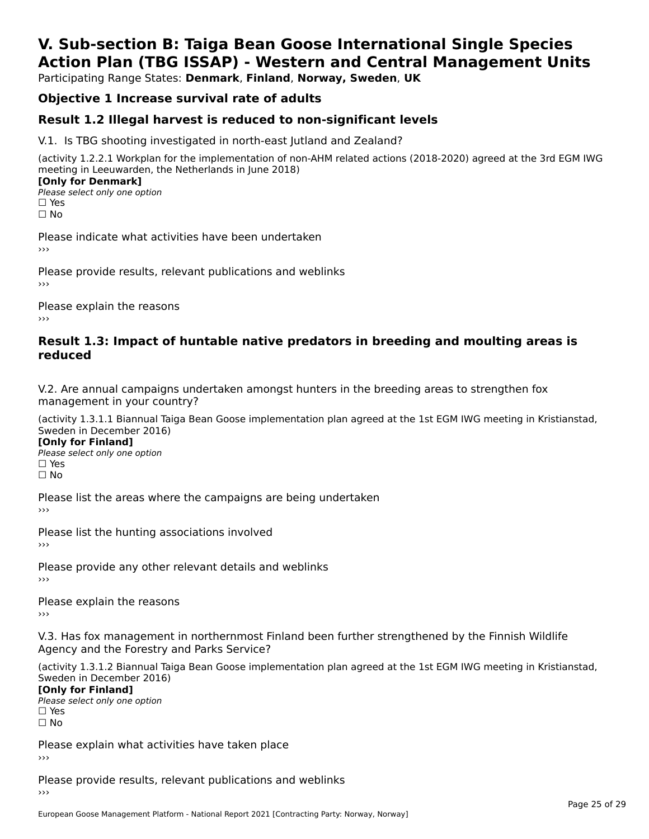# **V. Sub-section B: Taiga Bean Goose International Single SpeciesAction Plan (TBG ISSAP) - Western and Central Management Units**

Participating Range States: **Denmark**, **Finland**, **Norway, Sweden**, **UK**

## **Objective 1 Increase survival rate of adults**

### **Result 1.2 Illegal harvest is reduced to non-significant levels**

V.1. Is TBG shooting investigated in north-east Jutland and Zealand?

(activity 1.2.2.1 Workplan for the implementation of non-AHM related actions (2018-2020) agreed at the 3rd EGM IWG meeting in Leeuwarden, the Netherlands in June 2018) **[Only for Denmark]** 

**□ Please select only one option** □ Yes<br>□ No

Please indicate what activities have been undertaken›››

Please provide results, relevant publications and weblinks ›››

Please explain the reasons›››

### **Result 1.3: Impact of huntable native predators in breeding and moulting areas is reduced**

V.2. Are annual campaigns undertaken amongst hunters in the breeding areas to strengthen fox v.z. Are annual campaigns und<br>management in your country?

(activity 1.3.1.1 Biannual Taiga Bean Goose implementation plan agreed at the 1st EGM IWG meeting in Kristianstad, Sweden in December 2016)

**[Only for Finland]** Please select only one optionriease<br>□ Yes □ Yes<br>□ No

Please list the areas where the campaigns are being undertaken

Please list the hunting associations involved

Please provide any other relevant details and weblinks ›››

Please explain the reasons

V.3. Has fox management in northernmost Finland been further strengthened by the Finnish Wildlife v.5. Has fox management in northernmost F<br>Agency and the Forestry and Parks Service?

(activity 1.3.1.2 Biannual Taiga Bean Goose implementation plan agreed at the 1st EGM IWG meeting in Kristianstad, Sweden in December 2016) Sweden in December 2016)

[Only for Finland]

**Please select only one option** □ Yes<br>□ No

Please explain what activities have taken place

Please provide results, relevant publications and weblinks ›››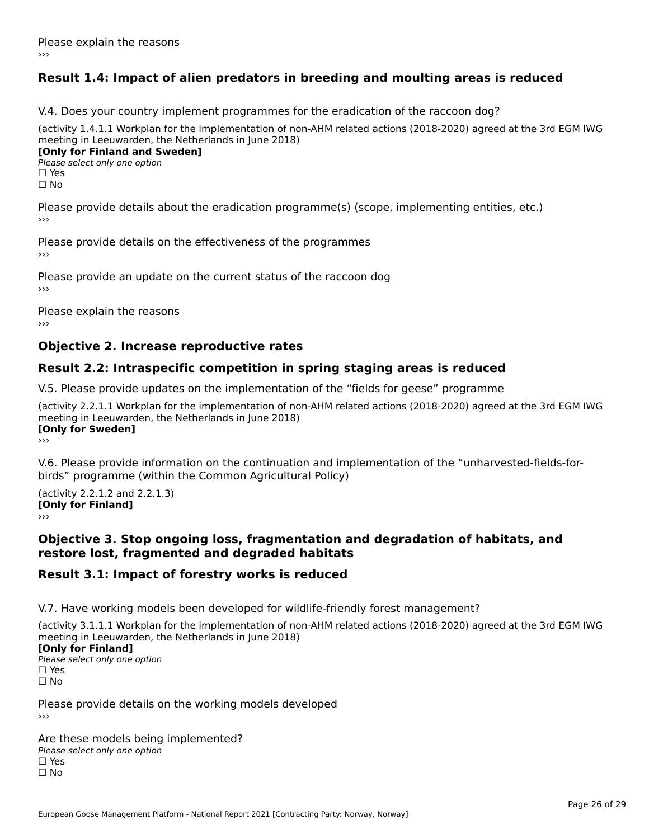# **Result 1.4: Impact of alien predators in breeding and moulting areas is reduced**

V.4. Does your country implement programmes for the eradication of the raccoon dog?

(activity 1.4.1.1 Workplan for the implementation of non-AHM related actions (2018-2020) agreed at the 3rd EGM IWG meeting in Leeuwarden, the Netherlands in June 2018) **[Only for Finland and Sweden]**

**Please select only one option** 

□ Yes<br>□ No

Please provide details about the eradication programme(s) (scope, implementing entities, etc.)

Please provide details on the effectiveness of the programmes

Please provide an update on the current status of the raccoon dog

Please explain the reasons

### **Objective 2. Increase reproductive rates**

### **Result 2.2: Intraspecific competition in spring staging areas is reduced**

V.5. Please provide updates on the implementation of the "fields for geese" programme

(activity 2.2.1.1 Workplan for the implementation of non-AHM related actions (2018-2020) agreed at the 3rd EGM IWG meeting in Leeuwarden, the Netherlands in June 2018) <u>Iony</u> ioi swedenj

V.6. Please provide information on the continuation and implementation of the "unharvested-fields-forbirds" programme (within the Common Agricultural Policy)birds" programme (within the Common Agricultural Policy)

(activity 2.2.1.2 and 2.2.1.3) **CONDUCTS**<br> **[Only for Finland]** 

### **Objective 3. Stop ongoing loss, fragmentation and degradation of habitats, and restore lost, fragmented and degraded habitats**

### **Result 3.1: Impact of forestry works is reduced**

V.7. Have working models been developed for wildlife-friendly forest management?

(activity 3.1.1.1 Workplan for the implementation of non-AHM related actions (2018-2020) agreed at the 3rd EGM IWG

### **[Only for Finland]**

**Please select only one option** □ Yes<br>□ No

Please provide details on the working models developed›››

Are these models being implemented? ∩ne enese moders being<br>Please select only one option □ Yes<br>□ No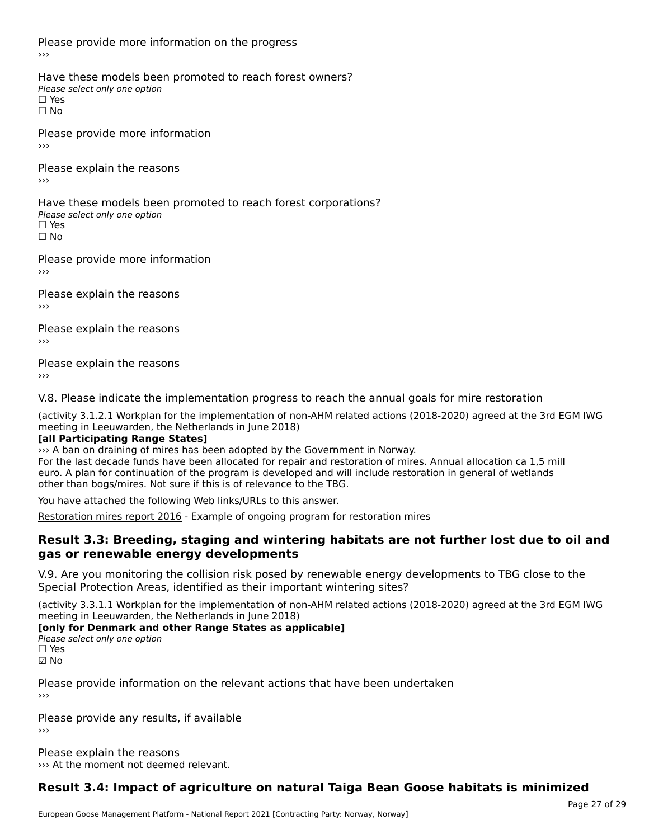Please provide more information on the progress›››

Have these models been promoted to reach forest owners? ∩ave these models bee<br>Please select only one option □ Yes<br>□ No

Please provide more information

Please explain the reasons ›››

Have these models been promoted to reach forest corporations? ∩ave these models bee<br>Please select only one option □ Yes<br>□ No

Please provide more information›››

Please explain the reasons ›››

Please explain the reasons›››

Please explain the reasons›››

V.8. Please indicate the implementation progress to reach the annual goals for mire restoration

(activity 3.1.2.1 Workplan for the implementation of non-AHM related actions (2018-2020) agreed at the 3rd EGM IWG meeting in Leeuwarden, the Netherlands in June 2018)

### **[all Participating Range States]**

››› A ban on draining of mires has been adopted by the Government in Norway. For the last decade funds have been allocated for repair and restoration of mires. Annual allocation ca 1,5 mill euro. A plan for continuation of the program is developed and will include restoration in general of wetlands other than bogs/mires. Not sure if this is of relevance to the TBG.

You have attached the following Web links/URLs to this answer.

[Restoration mires report 2016](http://https://www.miljodirektoratet.no/publikasjoner/2016/november-2016/restaurering-av-myr/) - Example of ongoing program for restoration mires

### **Result 3.3: Breeding, staging and wintering habitats are not further lost due to oil and gas or renewable energy developments**

V.9. Are you monitoring the collision risk posed by renewable energy developments to TBG close to the Special Protection Areas, identified as their important wintering sites?

(activity 3.3.1.1 Workplan for the implementation of non-AHM related actions (2018-2020) agreed at the 3rd EGM IWG meeting in Leeuwarden, the Netherlands in June 2018)

### **[only for Denmark and other Range States as applicable]**

**Please select only one option** 

☑ No

Please provide information on the relevant actions that have been undertaken ›››

Please provide any results, if available ›››

Please explain the reasons ››› At the moment not deemed relevant.

# **Result 3.4: Impact of agriculture on natural Taiga Bean Goose habitats is minimized**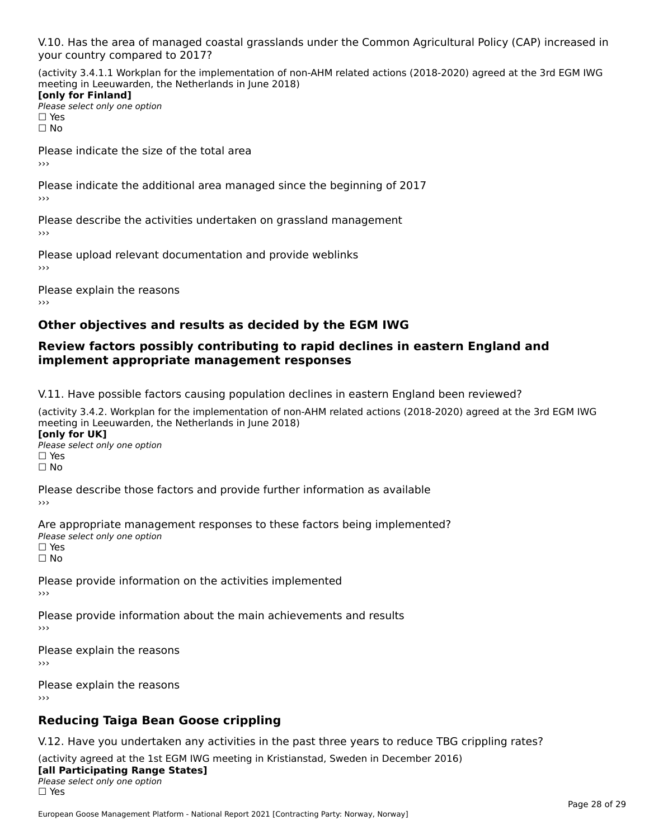V.10. Has the area of managed coastal grasslands under the Common Agricultural Policy (CAP) increased in

(activity 3.4.1.1 Workplan for the implementation of non-AHM related actions (2018-2020) agreed at the 3rd EGM IWG meeting in Leeuwarden, the Netherlands in June 2018) **[only for Finland]**

**□ Please select only one option** □ Yes<br>□ No

Please indicate the size of the total area›››

Please indicate the additional area managed since the beginning of 2017

Please describe the activities undertaken on grassland management

Please upload relevant documentation and provide weblinks

Please explain the reasons

# **Other objectives and results as decided by the EGM IWG**

### **Review factors possibly contributing to rapid declines in eastern England and implement appropriate management responses**implement appropriate management responses

V.11. Have possible factors causing population declines in eastern England been reviewed?

(activity 3.4.2. Workplan for the implementation of non-AHM related actions (2018-2020) agreed at the 3rd EGM IWGmeeting in Leeuwarden, the Netherlands in June 2018) **[only for UK]**[only for UK]

**Please select only one option<br>Please select only one option** □ Yes<br>□ No

Please describe those factors and provide further information as available

Are appropriate management responses to these factors being implemented? ne appropriace manage.<br>Please select only one option □ Yes<br>□ No

Please provide information on the activities implemented

Please provide information about the main achievements and results

Please explain the reasons ›››

Please explain the reasons›››

# **Reducing Taiga Bean Goose crippling**

V.12. Have you undertaken any activities in the past three years to reduce TBG crippling rates?

(activity agreed at the 1st EGM IWG meeting in Kristianstad, Sweden in December 2016) **[all Participating Range States]**